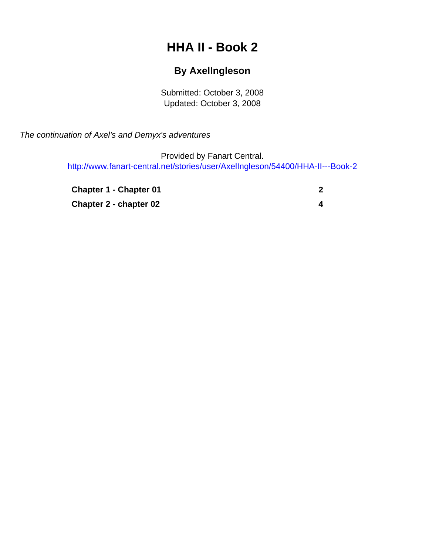# **HHA II - Book 2**

### **By AxelIngleson**

Submitted: October 3, 2008 Updated: October 3, 2008

<span id="page-0-0"></span>The continuation of Axel's and Demyx's adventures

Provided by Fanart Central. [http://www.fanart-central.net/stories/user/AxelIngleson/54400/HHA-II---Book-2](#page-0-0)

**[Chapter 1 - Chapter 01](#page-1-0)** [2](#page-1-0) **[Chapter 2 - chapter 02](#page-3-0)** [4](#page-3-0)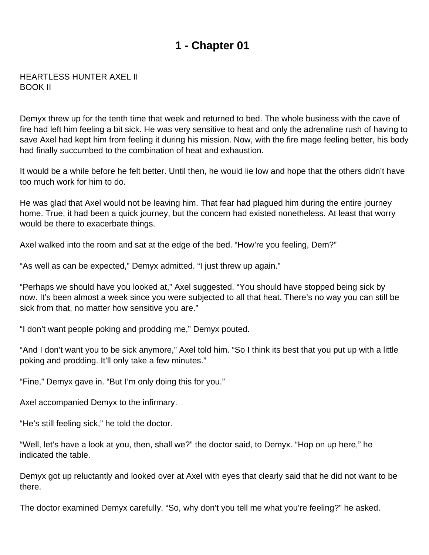## **1 - Chapter 01**

#### <span id="page-1-0"></span>HEARTLESS HUNTER AXEL II BOOK II

Demyx threw up for the tenth time that week and returned to bed. The whole business with the cave of fire had left him feeling a bit sick. He was very sensitive to heat and only the adrenaline rush of having to save Axel had kept him from feeling it during his mission. Now, with the fire mage feeling better, his body had finally succumbed to the combination of heat and exhaustion.

It would be a while before he felt better. Until then, he would lie low and hope that the others didn't have too much work for him to do.

He was glad that Axel would not be leaving him. That fear had plagued him during the entire journey home. True, it had been a quick journey, but the concern had existed nonetheless. At least that worry would be there to exacerbate things.

Axel walked into the room and sat at the edge of the bed. "How're you feeling, Dem?"

"As well as can be expected," Demyx admitted. "I just threw up again."

"Perhaps we should have you looked at," Axel suggested. "You should have stopped being sick by now. It's been almost a week since you were subjected to all that heat. There's no way you can still be sick from that, no matter how sensitive you are."

"I don't want people poking and prodding me," Demyx pouted.

"And I don't want you to be sick anymore," Axel told him. "So I think its best that you put up with a little poking and prodding. It'll only take a few minutes."

"Fine," Demyx gave in. "But I'm only doing this for you."

Axel accompanied Demyx to the infirmary.

"He's still feeling sick," he told the doctor.

"Well, let's have a look at you, then, shall we?" the doctor said, to Demyx. "Hop on up here," he indicated the table.

Demyx got up reluctantly and looked over at Axel with eyes that clearly said that he did not want to be there.

The doctor examined Demyx carefully. "So, why don't you tell me what you're feeling?" he asked.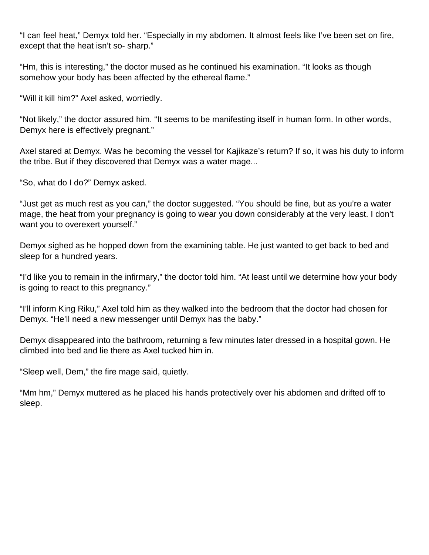"I can feel heat," Demyx told her. "Especially in my abdomen. It almost feels like I've been set on fire, except that the heat isn't so- sharp."

"Hm, this is interesting," the doctor mused as he continued his examination. "It looks as though somehow your body has been affected by the ethereal flame."

"Will it kill him?" Axel asked, worriedly.

"Not likely," the doctor assured him. "It seems to be manifesting itself in human form. In other words, Demyx here is effectively pregnant."

Axel stared at Demyx. Was he becoming the vessel for Kajikaze's return? If so, it was his duty to inform the tribe. But if they discovered that Demyx was a water mage...

"So, what do I do?" Demyx asked.

"Just get as much rest as you can," the doctor suggested. "You should be fine, but as you're a water mage, the heat from your pregnancy is going to wear you down considerably at the very least. I don't want you to overexert yourself."

Demyx sighed as he hopped down from the examining table. He just wanted to get back to bed and sleep for a hundred years.

"I'd like you to remain in the infirmary," the doctor told him. "At least until we determine how your body is going to react to this pregnancy."

"I'll inform King Riku," Axel told him as they walked into the bedroom that the doctor had chosen for Demyx. "He'll need a new messenger until Demyx has the baby."

Demyx disappeared into the bathroom, returning a few minutes later dressed in a hospital gown. He climbed into bed and lie there as Axel tucked him in.

"Sleep well, Dem," the fire mage said, quietly.

"Mm hm," Demyx muttered as he placed his hands protectively over his abdomen and drifted off to sleep.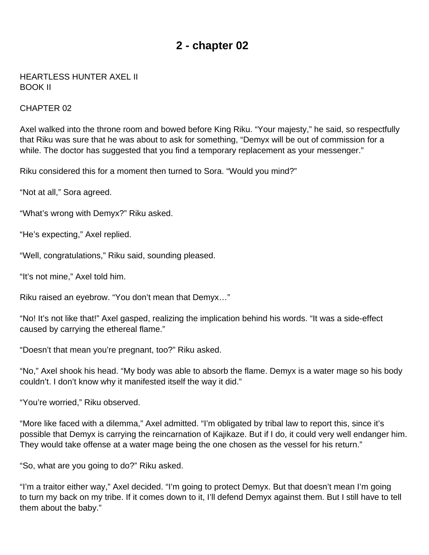## **2 - chapter 02**

#### <span id="page-3-0"></span>HEARTLESS HUNTER AXEL II BOOK II

#### CHAPTER 02

Axel walked into the throne room and bowed before King Riku. "Your majesty," he said, so respectfully that Riku was sure that he was about to ask for something, "Demyx will be out of commission for a while. The doctor has suggested that you find a temporary replacement as your messenger."

Riku considered this for a moment then turned to Sora. "Would you mind?"

"Not at all," Sora agreed.

"What's wrong with Demyx?" Riku asked.

"He's expecting," Axel replied.

"Well, congratulations," Riku said, sounding pleased.

"It's not mine," Axel told him.

Riku raised an eyebrow. "You don't mean that Demyx…"

"No! It's not like that!" Axel gasped, realizing the implication behind his words. "It was a side-effect caused by carrying the ethereal flame."

"Doesn't that mean you're pregnant, too?" Riku asked.

"No," Axel shook his head. "My body was able to absorb the flame. Demyx is a water mage so his body couldn't. I don't know why it manifested itself the way it did."

"You're worried," Riku observed.

"More like faced with a dilemma," Axel admitted. "I'm obligated by tribal law to report this, since it's possible that Demyx is carrying the reincarnation of Kajikaze. But if I do, it could very well endanger him. They would take offense at a water mage being the one chosen as the vessel for his return."

"So, what are you going to do?" Riku asked.

"I'm a traitor either way," Axel decided. "I'm going to protect Demyx. But that doesn't mean I'm going to turn my back on my tribe. If it comes down to it, I'll defend Demyx against them. But I still have to tell them about the baby."